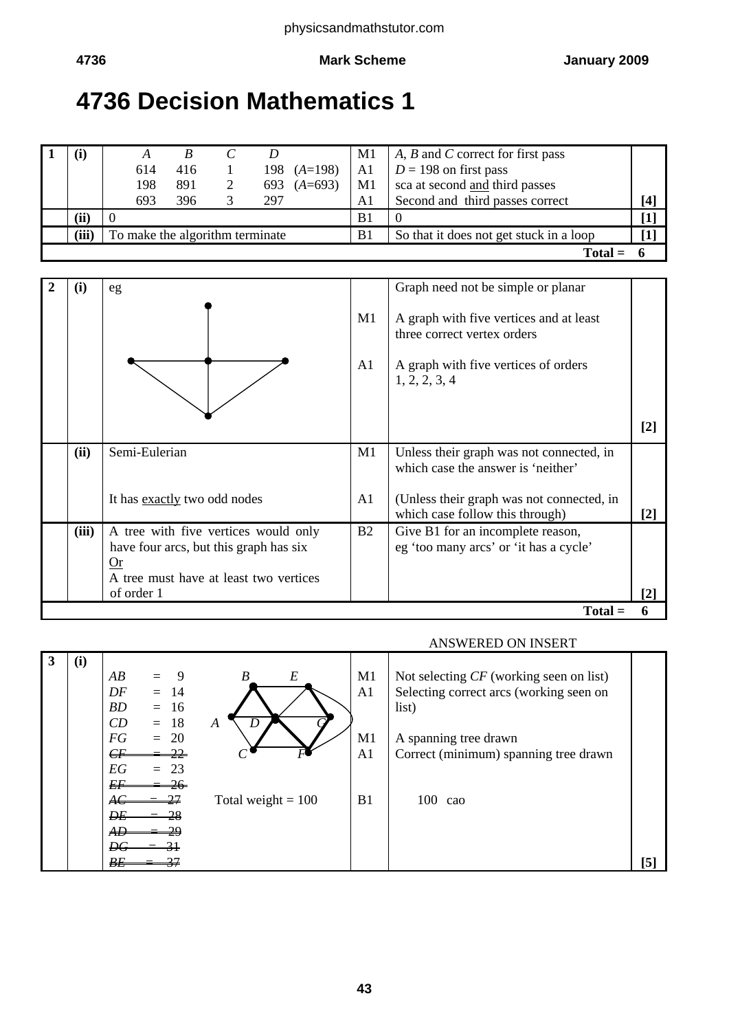# **4736 Decision Mathematics 1**

|       | 614                             | 416 |     | 198 $(A=198)$ | M1<br>A1       | A, B and C correct for first pass<br>$D = 198$ on first pass |                     |
|-------|---------------------------------|-----|-----|---------------|----------------|--------------------------------------------------------------|---------------------|
|       | 198                             | 891 |     | 693 $(A=693)$ | M1             | sca at second and third passes                               |                     |
|       | 693                             | 396 | 297 |               | Al             | Second and third passes correct                              | [4]                 |
| (ii)  |                                 |     |     |               | B1             |                                                              | $\bm{\mathsf{[1]}}$ |
| (iii) | To make the algorithm terminate |     |     |               | B <sub>1</sub> | So that it does not get stuck in a loop                      | $\mathbf{I}$        |
|       |                                 |     |     |               |                | Total                                                        |                     |

| (i)       | eg                                                                                   |                | Graph need not be simple or planar                                             |                   |  |  |
|-----------|--------------------------------------------------------------------------------------|----------------|--------------------------------------------------------------------------------|-------------------|--|--|
|           |                                                                                      | M1             | A graph with five vertices and at least<br>three correct vertex orders         |                   |  |  |
|           |                                                                                      | A1             | A graph with five vertices of orders<br>1, 2, 2, 3, 4                          |                   |  |  |
|           |                                                                                      |                |                                                                                | $\lceil 2 \rceil$ |  |  |
| (ii)      | Semi-Eulerian                                                                        | M1             | Unless their graph was not connected, in<br>which case the answer is 'neither' |                   |  |  |
|           | It has exactly two odd nodes                                                         | A1             | (Unless their graph was not connected, in<br>which case follow this through)   | $[2]$             |  |  |
| (iii)     | A tree with five vertices would only<br>have four arcs, but this graph has six<br>Or | B <sub>2</sub> | Give B1 for an incomplete reason,<br>eg 'too many arcs' or 'it has a cycle'    |                   |  |  |
|           | A tree must have at least two vertices<br>of order 1                                 |                |                                                                                |                   |  |  |
| $Total =$ |                                                                                      |                |                                                                                |                   |  |  |

### ANSWERED ON INSERT

| 3 | (i) | AB<br>$= 9$<br>DF<br>$=$ 14<br>BD<br>$= 16$                | B<br>E               | M1<br>A <sub>1</sub> | Not selecting $CF$ (working seen on list)<br>Selecting correct arcs (working seen on<br>list) |                   |
|---|-----|------------------------------------------------------------|----------------------|----------------------|-----------------------------------------------------------------------------------------------|-------------------|
|   |     | $= 18$<br>CD<br>FG<br>$= 20$<br>$\epsilon$<br>EG<br>$= 23$ | D<br>A               | M1<br>A <sub>1</sub> | A spanning tree drawn<br>Correct (minimum) spanning tree drawn                                |                   |
|   |     | EF<br>ĐE<br>$\overline{AB}$<br>$\Omega$<br>ĐG              | Total weight $= 100$ | B1                   | $100 \text{ cao}$                                                                             |                   |
|   |     | BE                                                         |                      |                      |                                                                                               | $\lceil 5 \rceil$ |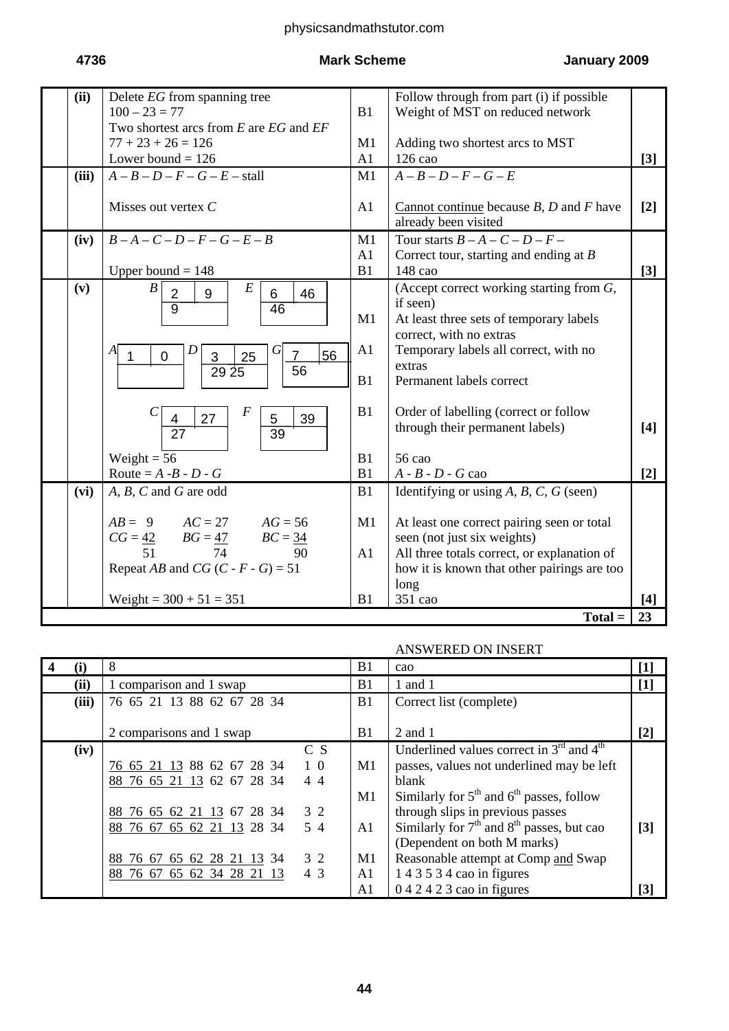# physicsandmathstutor.com

# **4736 Mark Scheme January 2009**

| (ii)  | Delete EG from spanning tree                                                                                                                                                                                                                              |                      | Follow through from part (i) if possible                                                                                                                                                                                                                                                 |                   |
|-------|-----------------------------------------------------------------------------------------------------------------------------------------------------------------------------------------------------------------------------------------------------------|----------------------|------------------------------------------------------------------------------------------------------------------------------------------------------------------------------------------------------------------------------------------------------------------------------------------|-------------------|
|       | $100 - 23 = 77$                                                                                                                                                                                                                                           | B1                   | Weight of MST on reduced network                                                                                                                                                                                                                                                         |                   |
|       | Two shortest arcs from $E$ are $EG$ and $EF$                                                                                                                                                                                                              |                      |                                                                                                                                                                                                                                                                                          |                   |
|       | $77 + 23 + 26 = 126$                                                                                                                                                                                                                                      | M1                   | Adding two shortest arcs to MST                                                                                                                                                                                                                                                          |                   |
|       | Lower bound $= 126$                                                                                                                                                                                                                                       | A1                   | 126 cao                                                                                                                                                                                                                                                                                  | $[3]$             |
| (iii) | $A - B - D - F - G - E$ - stall                                                                                                                                                                                                                           | M1                   | $A-B-D-F-G-E$                                                                                                                                                                                                                                                                            |                   |
|       | Misses out vertex $C$                                                                                                                                                                                                                                     | A1                   | Cannot continue because $B$ , $D$ and $F$ have<br>already been visited                                                                                                                                                                                                                   | $\lceil 2 \rceil$ |
| (iv)  | $B - A - C - D - F - G - E - B$                                                                                                                                                                                                                           | M1                   | Tour starts $B - A - C - D - F -$                                                                                                                                                                                                                                                        |                   |
|       |                                                                                                                                                                                                                                                           | A1                   | Correct tour, starting and ending at $B$                                                                                                                                                                                                                                                 |                   |
|       | Upper bound $= 148$                                                                                                                                                                                                                                       | B1                   | 148 cao                                                                                                                                                                                                                                                                                  | $[3]$             |
| (v)   | $\boldsymbol{B}$<br>$E\,$<br>$\overline{2}$<br>9<br>$6\phantom{1}$<br>46<br>$\overline{9}$<br>46<br>D<br>G<br>A<br>56<br>25<br>3<br>$\overline{7}$<br>$\overline{0}$<br>56<br>$29\,25$<br>$\boldsymbol{F}$<br>39<br>27<br>5<br>4<br>$\overline{27}$<br>39 | M1<br>A1<br>B1<br>B1 | (Accept correct working starting from $G$ ,<br>if seen)<br>At least three sets of temporary labels<br>correct, with no extras<br>Temporary labels all correct, with no<br>extras<br>Permanent labels correct<br>Order of labelling (correct or follow<br>through their permanent labels) | $[4]$             |
|       | Weight = $56$                                                                                                                                                                                                                                             | B1                   | 56 cao                                                                                                                                                                                                                                                                                   |                   |
|       | Route = $A - B - D - G$                                                                                                                                                                                                                                   | B1                   | $A - B - D - G$ cao                                                                                                                                                                                                                                                                      | $[2]$             |
| (vi)  | $A, B, C$ and $G$ are odd                                                                                                                                                                                                                                 | B1                   | Identifying or using $A, B, C, G$ (seen)                                                                                                                                                                                                                                                 |                   |
|       | $AB = 9$ $AC = 27$ $AG = 56$                                                                                                                                                                                                                              | M1                   | At least one correct pairing seen or total                                                                                                                                                                                                                                               |                   |
|       | $CG = \frac{42}{ }$ $BG = \frac{47}{ }$ $BC = \frac{34}{ }$                                                                                                                                                                                               |                      | seen (not just six weights)                                                                                                                                                                                                                                                              |                   |
|       | 74<br>90<br>51                                                                                                                                                                                                                                            | A1                   | All three totals correct, or explanation of                                                                                                                                                                                                                                              |                   |
|       | Repeat AB and CG $(C - F - G) = 51$                                                                                                                                                                                                                       |                      | how it is known that other pairings are too                                                                                                                                                                                                                                              |                   |
|       |                                                                                                                                                                                                                                                           |                      | long                                                                                                                                                                                                                                                                                     |                   |
|       | Weight = $300 + 51 = 351$                                                                                                                                                                                                                                 | B1                   | 351 cao                                                                                                                                                                                                                                                                                  | $\lceil 4 \rceil$ |
|       |                                                                                                                                                                                                                                                           |                      | $Total =$                                                                                                                                                                                                                                                                                | 23                |

### ANSWERED ON INSERT

|       | 8                                             | B <sub>1</sub> | cao                                           | $\lceil 1 \rceil$ |
|-------|-----------------------------------------------|----------------|-----------------------------------------------|-------------------|
| (ii)  | 1 comparison and 1 swap                       | B1             | 1 and 1                                       | $[1]$             |
| (iii) | 76 65 21 13 88 62 67 28 34                    | B1             | Correct list (complete)                       |                   |
|       |                                               |                |                                               |                   |
|       | 2 comparisons and 1 swap                      | B1             | 2 and 1                                       | $[2]$             |
| (iv)  | C S                                           |                | Underlined values correct in $3rd$ and $4th$  |                   |
|       | 76 65 21 13 88 62 67 28 34<br>$1\,0$          | M1             | passes, values not underlined may be left     |                   |
|       | 88 76 65 21 13 62 67 28 34<br>$4\overline{4}$ |                | blank                                         |                   |
|       |                                               | M1             | Similarly for $5th$ and $6th$ passes, follow  |                   |
|       | 88 76 65 62 21 13 67 28 34<br>3 2             |                | through slips in previous passes              |                   |
|       | $5\,4$<br>88 76 67 65 62 21 13 28 34          | A <sub>1</sub> | Similarly for $7th$ and $8th$ passes, but cao | $\lceil 3 \rceil$ |
|       |                                               |                | (Dependent on both M marks)                   |                   |
|       | 88 76 67 65 62 28 21 13<br>3 2<br>-34         | M1             | Reasonable attempt at Comp and Swap           |                   |
|       | 4 3<br>88 76 67 65 62 34 28 21 13             | A <sub>1</sub> | 1 4 3 5 3 4 cao in figures                    |                   |
|       |                                               | A1             | $0.42423$ cao in figures                      | $\lceil 3 \rceil$ |

## **44**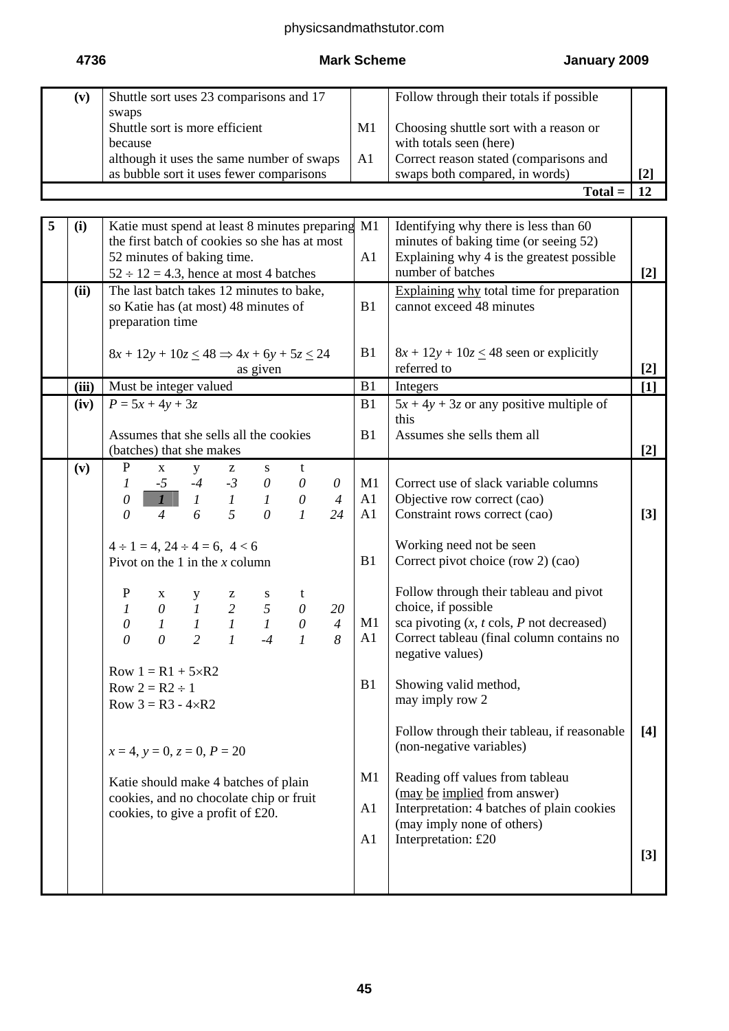# physicsandmathstutor.com

# **4736 Mark Scheme January 2009**

| $(\mathbf{v})$ | Shuttle sort uses 23 comparisons and 17   |                | Follow through their totals if possible |                   |
|----------------|-------------------------------------------|----------------|-----------------------------------------|-------------------|
|                | swaps                                     |                |                                         |                   |
|                | Shuttle sort is more efficient            | M1             | Choosing shuttle sort with a reason or  |                   |
|                | because                                   |                | with totals seen (here)                 |                   |
|                | although it uses the same number of swaps | A <sub>1</sub> | Correct reason stated (comparisons and  |                   |
|                | as bubble sort it uses fewer comparisons  |                | swaps both compared, in words)          | $\lceil 2 \rceil$ |
|                |                                           |                | Total                                   |                   |

| 5 | (i)   | Katie must spend at least 8 minutes preparing                                                                                              | M1             | Identifying why there is less than $60$                       |       |
|---|-------|--------------------------------------------------------------------------------------------------------------------------------------------|----------------|---------------------------------------------------------------|-------|
|   |       | the first batch of cookies so she has at most                                                                                              |                | minutes of baking time (or seeing 52)                         |       |
|   |       | 52 minutes of baking time.                                                                                                                 | A1             | Explaining why 4 is the greatest possible                     |       |
|   |       | $52 \div 12 = 4.3$ , hence at most 4 batches                                                                                               |                | number of batches                                             | $[2]$ |
|   | (ii)  | The last batch takes 12 minutes to bake,                                                                                                   |                | Explaining why total time for preparation                     |       |
|   |       | so Katie has (at most) 48 minutes of                                                                                                       | B1             | cannot exceed 48 minutes                                      |       |
|   |       | preparation time                                                                                                                           |                |                                                               |       |
|   |       |                                                                                                                                            |                |                                                               |       |
|   |       | $8x + 12y + 10z \le 48 \implies 4x + 6y + 5z \le 24$                                                                                       | B1             | $8x + 12y + 10z \le 48$ seen or explicitly<br>referred to     |       |
|   | (iii) | as given<br>Must be integer valued                                                                                                         | B1             |                                                               | $[2]$ |
|   |       |                                                                                                                                            |                | Integers                                                      | $[1]$ |
|   | (iv)  | $P = 5x + 4y + 3z$                                                                                                                         | B1             | $5x + 4y + 3z$ or any positive multiple of<br>this            |       |
|   |       | Assumes that she sells all the cookies                                                                                                     | B1             | Assumes she sells them all                                    |       |
|   |       | (batches) that she makes                                                                                                                   |                |                                                               | $[2]$ |
|   | (v)   | P<br>$\mathbf X$<br>y<br>t<br>$\mathbf{Z}$<br>S                                                                                            |                |                                                               |       |
|   |       | $\theta$                                                                                                                                   | M1             | Correct use of slack variable columns                         |       |
|   |       | $\begin{array}{ccccccccc}\nI & -5 & -4 & -3 & 0 & 0 \\ 0 & 1 & I & I & 1 & 0\n\end{array}$<br>$\overline{4}$                               | A1             | Objective row correct (cao)                                   |       |
|   |       | $\overline{5}$<br>$\overline{4}$<br>6<br>$\theta$<br>$\mathcal{I}$<br>24<br>$\theta$                                                       | A1             | Constraint rows correct (cao)                                 | $[3]$ |
|   |       |                                                                                                                                            |                |                                                               |       |
|   |       | $4 \div 1 = 4$ , $24 \div 4 = 6$ , $4 < 6$                                                                                                 |                | Working need not be seen                                      |       |
|   |       | Pivot on the 1 in the $x$ column                                                                                                           | B1             | Correct pivot choice (row 2) (cao)                            |       |
|   |       |                                                                                                                                            |                |                                                               |       |
|   |       | t<br>$\theta$                                                                                                                              |                | Follow through their tableau and pivot<br>choice, if possible |       |
|   |       | 20<br>$\theta$<br>$\overline{4}$                                                                                                           | M1             | sca pivoting $(x, t \text{ coils}, P \text{ not decreased})$  |       |
|   |       | P x y z s<br>1 0 1 2 5<br>0 1 1 1 1<br>0 0 2 1 -4<br>$\overline{2}$<br>$\theta$<br>$\mathcal{I}$<br>$-4$<br>$\mathcal{I}$<br>8<br>$\theta$ | A1             | Correct tableau (final column contains no                     |       |
|   |       |                                                                                                                                            |                | negative values)                                              |       |
|   |       | Row $1 = R1 + 5 \times R2$                                                                                                                 |                |                                                               |       |
|   |       | Row $2 = R2 \div 1$                                                                                                                        | B1             | Showing valid method,                                         |       |
|   |       | Row $3 = R3 - 4 \times R2$                                                                                                                 |                | may imply row 2                                               |       |
|   |       |                                                                                                                                            |                |                                                               |       |
|   |       |                                                                                                                                            |                | Follow through their tableau, if reasonable                   | $[4]$ |
|   |       | $x = 4$ , $y = 0$ , $z = 0$ , $P = 20$                                                                                                     |                | (non-negative variables)                                      |       |
|   |       |                                                                                                                                            | M1             | Reading off values from tableau                               |       |
|   |       | Katie should make 4 batches of plain                                                                                                       |                | (may be implied from answer)                                  |       |
|   |       | cookies, and no chocolate chip or fruit                                                                                                    | A <sub>1</sub> | Interpretation: 4 batches of plain cookies                    |       |
|   |       | cookies, to give a profit of £20.                                                                                                          |                | (may imply none of others)                                    |       |
|   |       |                                                                                                                                            | A <sub>1</sub> | Interpretation: £20                                           |       |
|   |       |                                                                                                                                            |                |                                                               | $[3]$ |
|   |       |                                                                                                                                            |                |                                                               |       |
|   |       |                                                                                                                                            |                |                                                               |       |